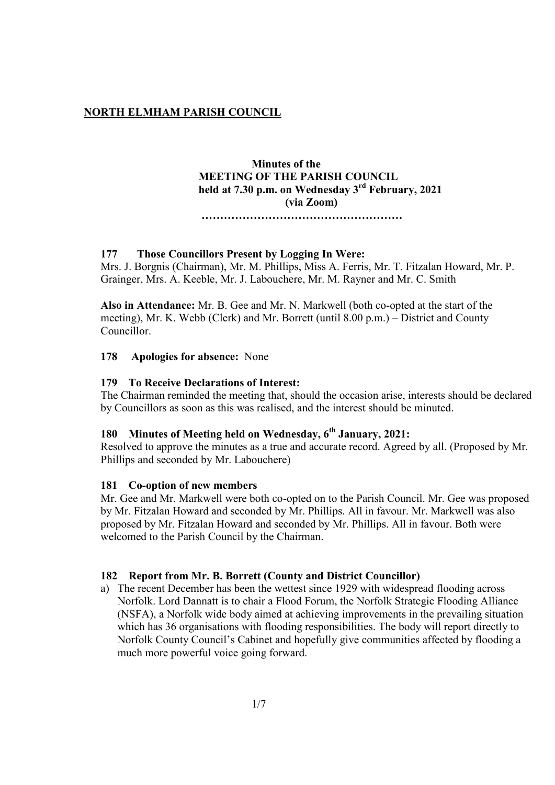## **NORTH ELMHAM PARISH COUNCIL**

# **Minutes of the MEETING OF THE PARISH COUNCIL held at 7.30 p.m. on Wednesday 3 rd February, 2021 (via Zoom)**

 **………………………………………………**

## **177 Those Councillors Present by Logging In Were:**

Mrs. J. Borgnis (Chairman), Mr. M. Phillips, Miss A. Ferris, Mr. T. Fitzalan Howard, Mr. P. Grainger, Mrs. A. Keeble, Mr. J. Labouchere, Mr. M. Rayner and Mr. C. Smith

**Also in Attendance:** Mr. B. Gee and Mr. N. Markwell (both co-opted at the start of the meeting), Mr. K. Webb (Clerk) and Mr. Borrett (until 8.00 p.m.) – District and County Councillor.

#### **178 Apologies for absence:** None

### **179 To Receive Declarations of Interest:**

The Chairman reminded the meeting that, should the occasion arise, interests should be declared by Councillors as soon as this was realised, and the interest should be minuted.

# **180 Minutes of Meeting held on Wednesday, 6 th January, 2021:**

Resolved to approve the minutes as a true and accurate record. Agreed by all. (Proposed by Mr. Phillips and seconded by Mr. Labouchere)

#### **181 Co-option of new members**

Mr. Gee and Mr. Markwell were both co-opted on to the Parish Council. Mr. Gee was proposed by Mr. Fitzalan Howard and seconded by Mr. Phillips. All in favour. Mr. Markwell was also proposed by Mr. Fitzalan Howard and seconded by Mr. Phillips. All in favour. Both were welcomed to the Parish Council by the Chairman.

#### **182 Report from Mr. B. Borrett (County and District Councillor)**

a) The recent December has been the wettest since 1929 with widespread flooding across Norfolk. Lord Dannatt is to chair a Flood Forum, the Norfolk Strategic Flooding Alliance (NSFA), a Norfolk wide body aimed at achieving improvements in the prevailing situation which has 36 organisations with flooding responsibilities. The body will report directly to Norfolk County Council's Cabinet and hopefully give communities affected by flooding a much more powerful voice going forward.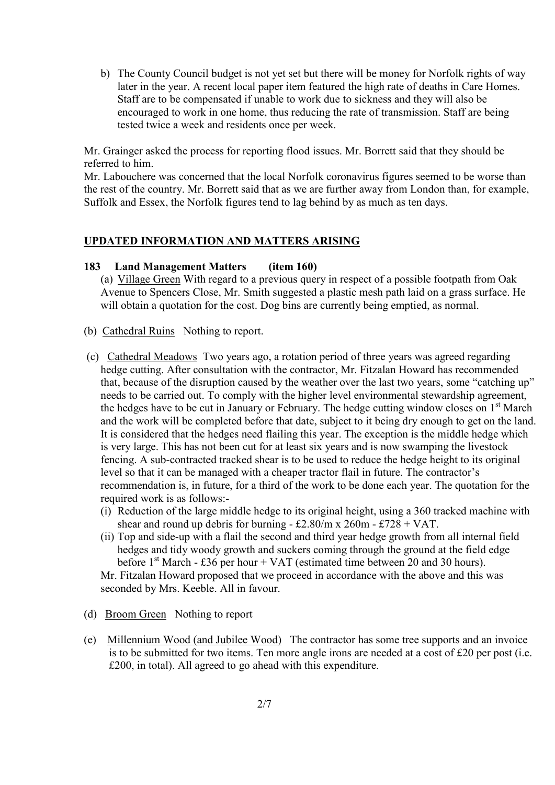b) The County Council budget is not yet set but there will be money for Norfolk rights of way later in the year. A recent local paper item featured the high rate of deaths in Care Homes. Staff are to be compensated if unable to work due to sickness and they will also be encouraged to work in one home, thus reducing the rate of transmission. Staff are being tested twice a week and residents once per week.

Mr. Grainger asked the process for reporting flood issues. Mr. Borrett said that they should be referred to him.

Mr. Labouchere was concerned that the local Norfolk coronavirus figures seemed to be worse than the rest of the country. Mr. Borrett said that as we are further away from London than, for example, Suffolk and Essex, the Norfolk figures tend to lag behind by as much as ten days.

## **UPDATED INFORMATION AND MATTERS ARISING**

## **183 Land Management Matters (item 160)**

(a) Village Green With regard to a previous query in respect of a possible footpath from Oak Avenue to Spencers Close, Mr. Smith suggested a plastic mesh path laid on a grass surface. He will obtain a quotation for the cost. Dog bins are currently being emptied, as normal.

- (b) Cathedral Ruins Nothing to report.
- (c) Cathedral Meadows Two years ago, a rotation period of three years was agreed regarding hedge cutting. After consultation with the contractor, Mr. Fitzalan Howard has recommended that, because of the disruption caused by the weather over the last two years, some "catching up" needs to be carried out. To comply with the higher level environmental stewardship agreement, the hedges have to be cut in January or February. The hedge cutting window closes on 1<sup>st</sup> March and the work will be completed before that date, subject to it being dry enough to get on the land. It is considered that the hedges need flailing this year. The exception is the middle hedge which is very large. This has not been cut for at least six years and is now swamping the livestock fencing. A sub-contracted tracked shear is to be used to reduce the hedge height to its original level so that it can be managed with a cheaper tractor flail in future. The contractor's recommendation is, in future, for a third of the work to be done each year. The quotation for the required work is as follows:-
	- (i) Reduction of the large middle hedge to its original height, using a 360 tracked machine with shear and round up debris for burning - £2.80/m x 260m - £728 + VAT.
	- (ii) Top and side-up with a flail the second and third year hedge growth from all internal field hedges and tidy woody growth and suckers coming through the ground at the field edge before  $1<sup>st</sup> March - £36$  per hour + VAT (estimated time between 20 and 30 hours). Mr. Fitzalan Howard proposed that we proceed in accordance with the above and this was

seconded by Mrs. Keeble. All in favour.

- (d) Broom Green Nothing to report
- (e) Millennium Wood (and Jubilee Wood) The contractor has some tree supports and an invoice is to be submitted for two items. Ten more angle irons are needed at a cost of £20 per post (i.e. £200, in total). All agreed to go ahead with this expenditure.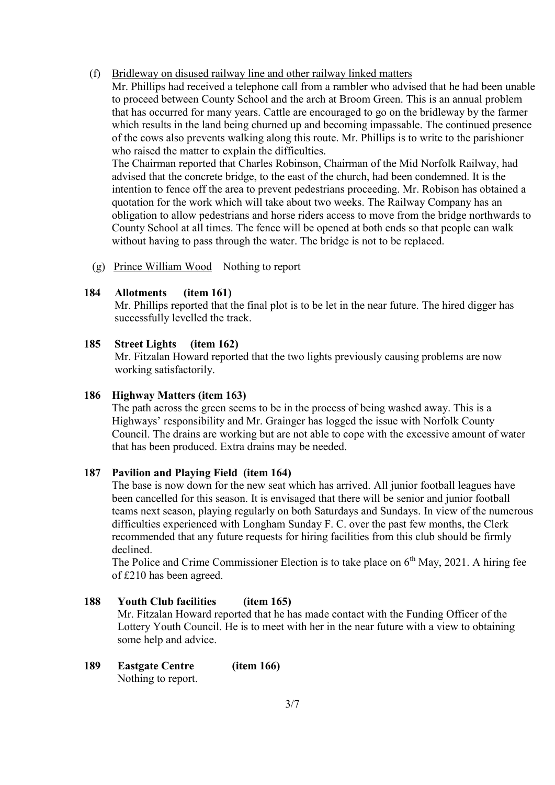#### (f) Bridleway on disused railway line and other railway linked matters

 Mr. Phillips had received a telephone call from a rambler who advised that he had been unable to proceed between County School and the arch at Broom Green. This is an annual problem that has occurred for many years. Cattle are encouraged to go on the bridleway by the farmer which results in the land being churned up and becoming impassable. The continued presence of the cows also prevents walking along this route. Mr. Phillips is to write to the parishioner who raised the matter to explain the difficulties.

 The Chairman reported that Charles Robinson, Chairman of the Mid Norfolk Railway, had advised that the concrete bridge, to the east of the church, had been condemned. It is the intention to fence off the area to prevent pedestrians proceeding. Mr. Robison has obtained a quotation for the work which will take about two weeks. The Railway Company has an obligation to allow pedestrians and horse riders access to move from the bridge northwards to County School at all times. The fence will be opened at both ends so that people can walk without having to pass through the water. The bridge is not to be replaced.

(g) Prince William Wood Nothing to report

## **184 Allotments (item 161)**

Mr. Phillips reported that the final plot is to be let in the near future. The hired digger has successfully levelled the track.

### **185 Street Lights (item 162)**

Mr. Fitzalan Howard reported that the two lights previously causing problems are now working satisfactorily.

#### **186 Highway Matters (item 163)**

The path across the green seems to be in the process of being washed away. This is a Highways' responsibility and Mr. Grainger has logged the issue with Norfolk County Council. The drains are working but are not able to cope with the excessive amount of water that has been produced. Extra drains may be needed.

## **187 Pavilion and Playing Field (item 164)**

 The base is now down for the new seat which has arrived. All junior football leagues have been cancelled for this season. It is envisaged that there will be senior and junior football teams next season, playing regularly on both Saturdays and Sundays. In view of the numerous difficulties experienced with Longham Sunday F. C. over the past few months, the Clerk recommended that any future requests for hiring facilities from this club should be firmly declined.

The Police and Crime Commissioner Election is to take place on  $6<sup>th</sup>$  May, 2021. A hiring fee of £210 has been agreed.

## **188 Youth Club facilities (item 165)**

Mr. Fitzalan Howard reported that he has made contact with the Funding Officer of the Lottery Youth Council. He is to meet with her in the near future with a view to obtaining some help and advice.

**189 Eastgate Centre (item 166)** Nothing to report.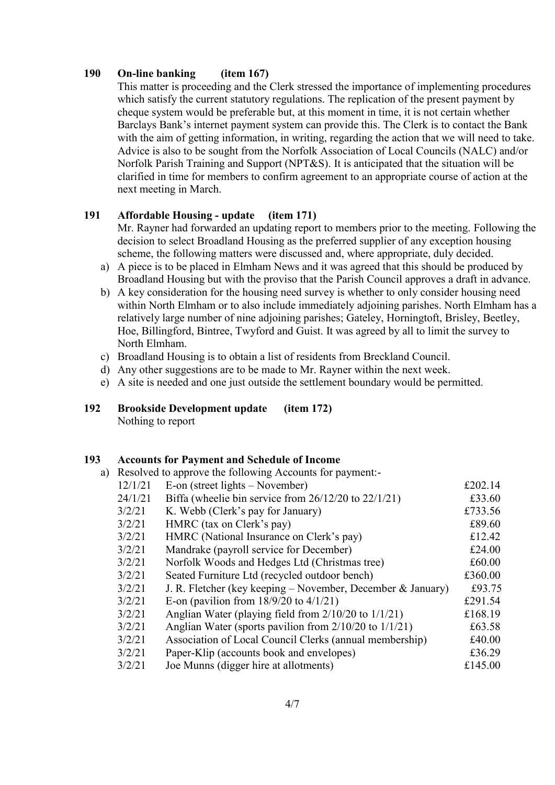## **190 On-line banking (item 167)**

This matter is proceeding and the Clerk stressed the importance of implementing procedures which satisfy the current statutory regulations. The replication of the present payment by cheque system would be preferable but, at this moment in time, it is not certain whether Barclays Bank's internet payment system can provide this. The Clerk is to contact the Bank with the aim of getting information, in writing, regarding the action that we will need to take. Advice is also to be sought from the Norfolk Association of Local Councils (NALC) and/or Norfolk Parish Training and Support (NPT&S). It is anticipated that the situation will be clarified in time for members to confirm agreement to an appropriate course of action at the next meeting in March.

### **191 Affordable Housing - update (item 171)**

Mr. Rayner had forwarded an updating report to members prior to the meeting. Following the decision to select Broadland Housing as the preferred supplier of any exception housing scheme, the following matters were discussed and, where appropriate, duly decided.

- a) A piece is to be placed in Elmham News and it was agreed that this should be produced by Broadland Housing but with the proviso that the Parish Council approves a draft in advance.
- b) A key consideration for the housing need survey is whether to only consider housing need within North Elmham or to also include immediately adjoining parishes. North Elmham has a relatively large number of nine adjoining parishes; Gateley, Horningtoft, Brisley, Beetley, Hoe, Billingford, Bintree, Twyford and Guist. It was agreed by all to limit the survey to North Elmham.
- c) Broadland Housing is to obtain a list of residents from Breckland Council.
- d) Any other suggestions are to be made to Mr. Rayner within the next week.
- e) A site is needed and one just outside the settlement boundary would be permitted.
- **192 Brookside Development update (item 172)**  Nothing to report

#### **193 Accounts for Payment and Schedule of Income**

|         | a) Resolved to approve the following Accounts for payment:- |         |
|---------|-------------------------------------------------------------|---------|
| 12/1/21 | E-on (street lights $-$ November)                           | £202.14 |
| 24/1/21 | Biffa (wheelie bin service from $26/12/20$ to $22/1/21$ )   | £33.60  |
| 3/2/21  | K. Webb (Clerk's pay for January)                           | £733.56 |
| 3/2/21  | HMRC (tax on Clerk's pay)                                   | £89.60  |
| 3/2/21  | HMRC (National Insurance on Clerk's pay)                    | £12.42  |
| 3/2/21  | Mandrake (payroll service for December)                     | £24.00  |
| 3/2/21  | Norfolk Woods and Hedges Ltd (Christmas tree)               | £60.00  |
| 3/2/21  | Seated Furniture Ltd (recycled outdoor bench)               | £360.00 |
| 3/2/21  | J. R. Fletcher (key keeping – November, December & January) | £93.75  |
| 3/2/21  | E-on (pavilion from $18/9/20$ to $4/1/21$ )                 | £291.54 |
| 3/2/21  | Anglian Water (playing field from $2/10/20$ to $1/1/21$ )   | £168.19 |
| 3/2/21  | Anglian Water (sports pavilion from $2/10/20$ to $1/1/21$ ) | £63.58  |
| 3/2/21  | Association of Local Council Clerks (annual membership)     | £40.00  |
| 3/2/21  | Paper-Klip (accounts book and envelopes)                    | £36.29  |
| 3/2/21  | Joe Munns (digger hire at allotments)                       | £145.00 |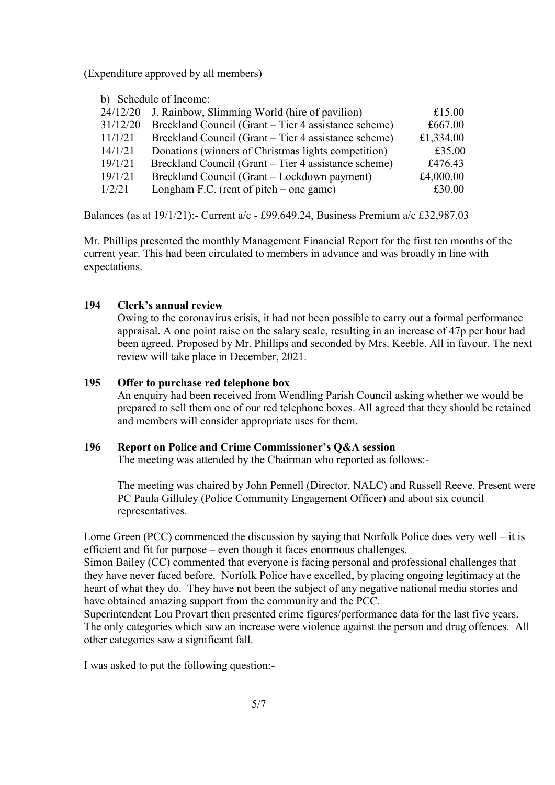(Expenditure approved by all members)

b) Schedule of Income:

| 24/12/20 | J. Rainbow, Slimming World (hire of pavilion)        | £15.00    |
|----------|------------------------------------------------------|-----------|
| 31/12/20 | Breckland Council (Grant – Tier 4 assistance scheme) | £667.00   |
| 11/1/21  | Breckland Council (Grant – Tier 4 assistance scheme) | £1,334.00 |
| 14/1/21  | Donations (winners of Christmas lights competition)  | £35.00    |
| 19/1/21  | Breckland Council (Grant – Tier 4 assistance scheme) | £476.43   |
| 19/1/21  | Breckland Council (Grant – Lockdown payment)         | £4,000.00 |
| 1/2/21   | Longham F.C. (rent of pitch $-$ one game)            | £30.00    |
|          |                                                      |           |

Balances (as at 19/1/21):- Current a/c - £99,649.24, Business Premium a/c £32,987.03

Mr. Phillips presented the monthly Management Financial Report for the first ten months of the current year. This had been circulated to members in advance and was broadly in line with expectations.

# **194 Clerk's annual review**

Owing to the coronavirus crisis, it had not been possible to carry out a formal performance appraisal. A one point raise on the salary scale, resulting in an increase of 47p per hour had been agreed. Proposed by Mr. Phillips and seconded by Mrs. Keeble. All in favour. The next review will take place in December, 2021.

## **195 Offer to purchase red telephone box**

An enquiry had been received from Wendling Parish Council asking whether we would be prepared to sell them one of our red telephone boxes. All agreed that they should be retained and members will consider appropriate uses for them.

## **196 Report on Police and Crime Commissioner's Q&A session**

The meeting was attended by the Chairman who reported as follows:-

The meeting was chaired by John Pennell (Director, NALC) and Russell Reeve. Present were PC Paula Gilluley (Police Community Engagement Officer) and about six council representatives.

Lorne Green (PCC) commenced the discussion by saying that Norfolk Police does very well – it is efficient and fit for purpose – even though it faces enormous challenges.

Simon Bailey (CC) commented that everyone is facing personal and professional challenges that they have never faced before. Norfolk Police have excelled, by placing ongoing legitimacy at the heart of what they do. They have not been the subject of any negative national media stories and have obtained amazing support from the community and the PCC.

Superintendent Lou Provart then presented crime figures/performance data for the last five years. The only categories which saw an increase were violence against the person and drug offences. All other categories saw a significant fall.

I was asked to put the following question:-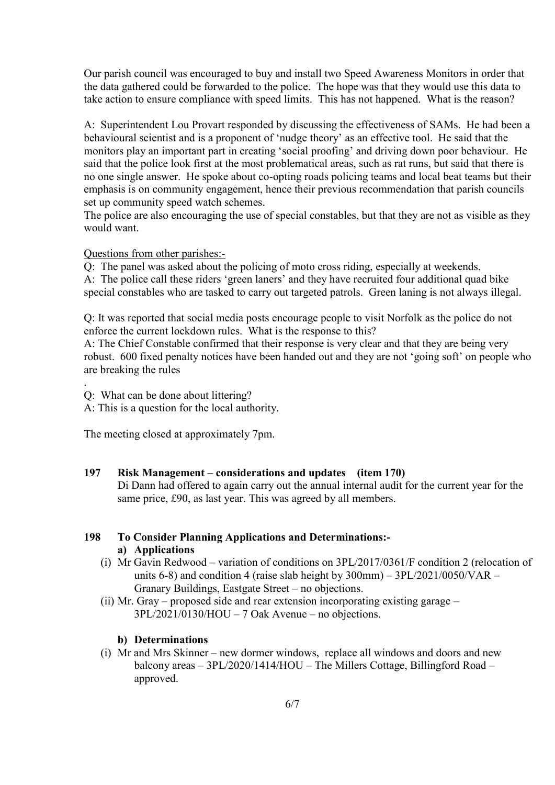Our parish council was encouraged to buy and install two Speed Awareness Monitors in order that the data gathered could be forwarded to the police. The hope was that they would use this data to take action to ensure compliance with speed limits. This has not happened. What is the reason?

A: Superintendent Lou Provart responded by discussing the effectiveness of SAMs. He had been a behavioural scientist and is a proponent of 'nudge theory' as an effective tool. He said that the monitors play an important part in creating 'social proofing' and driving down poor behaviour. He said that the police look first at the most problematical areas, such as rat runs, but said that there is no one single answer. He spoke about co-opting roads policing teams and local beat teams but their emphasis is on community engagement, hence their previous recommendation that parish councils set up community speed watch schemes.

The police are also encouraging the use of special constables, but that they are not as visible as they would want.

#### Questions from other parishes:-

Q: The panel was asked about the policing of moto cross riding, especially at weekends. A: The police call these riders 'green laners' and they have recruited four additional quad bike special constables who are tasked to carry out targeted patrols. Green laning is not always illegal.

Q: It was reported that social media posts encourage people to visit Norfolk as the police do not enforce the current lockdown rules. What is the response to this?

A: The Chief Constable confirmed that their response is very clear and that they are being very robust. 600 fixed penalty notices have been handed out and they are not 'going soft' on people who are breaking the rules

Q: What can be done about littering?

.

A: This is a question for the local authority.

The meeting closed at approximately 7pm.

#### **197 Risk Management – considerations and updates (item 170)**

Di Dann had offered to again carry out the annual internal audit for the current year for the same price, £90, as last year. This was agreed by all members.

### **198 To Consider Planning Applications and Determinations: a) Applications**

- (i) Mr Gavin Redwood variation of conditions on 3PL/2017/0361/F condition 2 (relocation of units 6-8) and condition 4 (raise slab height by  $300 \text{mm}$ ) –  $3PL/2021/0050/\text{VAR}$  – Granary Buildings, Eastgate Street – no objections.
- (ii) Mr. Gray proposed side and rear extension incorporating existing garage 3PL/2021/0130/HOU – 7 Oak Avenue – no objections.

## **b) Determinations**

(i) Mr and Mrs Skinner – new dormer windows, replace all windows and doors and new balcony areas – 3PL/2020/1414/HOU – The Millers Cottage, Billingford Road – approved.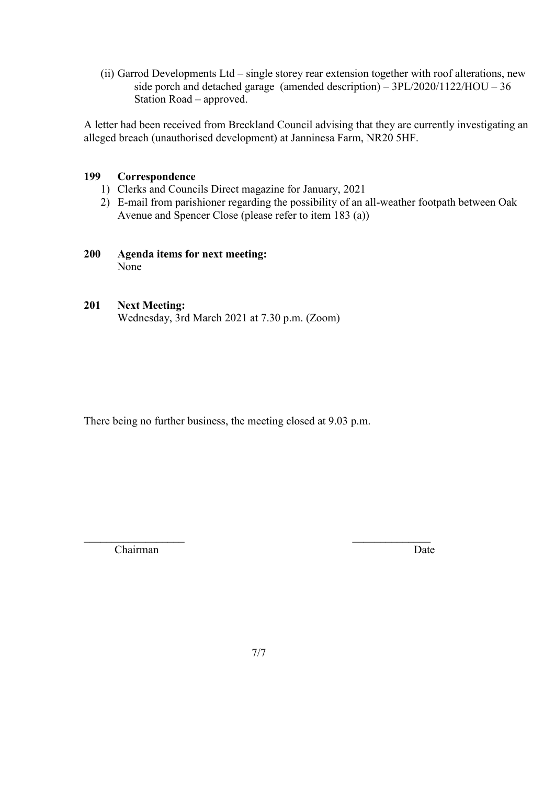(ii) Garrod Developments Ltd – single storey rear extension together with roof alterations, new side porch and detached garage (amended description) – 3PL/2020/1122/HOU – 36 Station Road – approved.

A letter had been received from Breckland Council advising that they are currently investigating an alleged breach (unauthorised development) at Janninesa Farm, NR20 5HF.

## **199 Correspondence**

- 1) Clerks and Councils Direct magazine for January, 2021
- 2) E-mail from parishioner regarding the possibility of an all-weather footpath between Oak Avenue and Spencer Close (please refer to item 183 (a))

## **200 Agenda items for next meeting:** None

## **201 Next Meeting:**

Wednesday, 3rd March 2021 at 7.30 p.m. (Zoom)

There being no further business, the meeting closed at 9.03 p.m.

Chairman Date